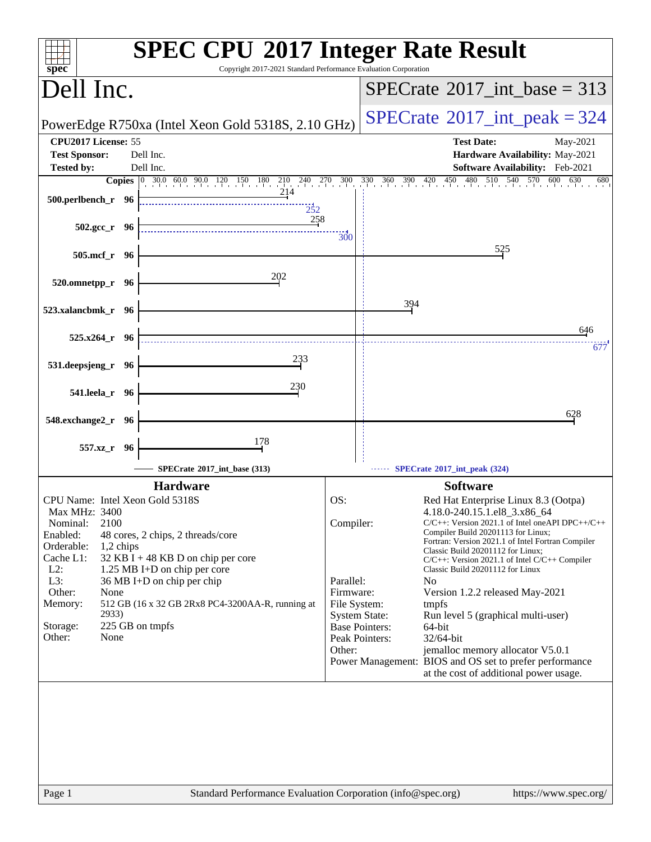| spec <sup>®</sup>                                                                                                                        | <b>SPEC CPU®2017 Integer Rate Result</b><br>Copyright 2017-2021 Standard Performance Evaluation Corporation                                                                                      |
|------------------------------------------------------------------------------------------------------------------------------------------|--------------------------------------------------------------------------------------------------------------------------------------------------------------------------------------------------|
| Dell Inc.                                                                                                                                | $SPECTate$ <sup>®</sup> 2017_int_base = 313                                                                                                                                                      |
| PowerEdge R750xa (Intel Xeon Gold 5318S, 2.10 GHz)                                                                                       | $SPECrate^{\circ}2017\_int\_peak = 324$                                                                                                                                                          |
| CPU2017 License: 55<br><b>Test Sponsor:</b><br>Dell Inc.                                                                                 | <b>Test Date:</b><br>May-2021<br>Hardware Availability: May-2021                                                                                                                                 |
| Dell Inc.<br><b>Tested by:</b>                                                                                                           | Software Availability: Feb-2021                                                                                                                                                                  |
| <b>Copies</b> 0 30.0 60.0 90.0 120 150 180 210 240 270 300<br>214<br>500.perlbench_r 96<br>252                                           | $330$ $360$ $390$ $420$<br>480 510 540 570<br>450<br>600<br>630<br>680                                                                                                                           |
| 258<br>502.gcc_r 96                                                                                                                      | <b>300</b>                                                                                                                                                                                       |
| 505.mcf_r 96                                                                                                                             | 525                                                                                                                                                                                              |
| 202<br>520.omnetpp_r 96                                                                                                                  |                                                                                                                                                                                                  |
| 523.xalancbmk_r 96                                                                                                                       | 394                                                                                                                                                                                              |
| $525.x264$ $r$ 96                                                                                                                        | 646<br>677                                                                                                                                                                                       |
| 233<br>531.deepsjeng_r 96                                                                                                                |                                                                                                                                                                                                  |
| 230<br>541.leela_r 96                                                                                                                    |                                                                                                                                                                                                  |
| 548.exchange2_r<br>- 96                                                                                                                  | 628                                                                                                                                                                                              |
| 178<br>557.xz_r 96                                                                                                                       |                                                                                                                                                                                                  |
| SPECrate®2017 int base (313)                                                                                                             | SPECrate®2017_int_peak (324)                                                                                                                                                                     |
| <b>Hardware</b>                                                                                                                          | <b>Software</b>                                                                                                                                                                                  |
| CPU Name: Intel Xeon Gold 5318S<br>Max MHz: 3400                                                                                         | OS:<br>Red Hat Enterprise Linux 8.3 (Ootpa)<br>4.18.0-240.15.1.el8_3.x86_64                                                                                                                      |
| Nominal:<br>2100<br>Enabled:<br>48 cores, 2 chips, 2 threads/core<br>Orderable:<br>1,2 chips                                             | Compiler:<br>$C/C++$ : Version 2021.1 of Intel one API DPC++/C++<br>Compiler Build 20201113 for Linux;<br>Fortran: Version 2021.1 of Intel Fortran Compiler<br>Classic Build 20201112 for Linux; |
| Cache L1:<br>32 KB I + 48 KB D on chip per core<br>$L2$ :<br>1.25 MB I+D on chip per core<br>L3:<br>$36 \text{ MB}$ I+D on chip per chip | C/C++: Version 2021.1 of Intel C/C++ Compiler<br>Classic Build 20201112 for Linux<br>Parallel:<br>N <sub>0</sub>                                                                                 |
| Other:<br>None<br>Memory:<br>512 GB (16 x 32 GB 2Rx8 PC4-3200AA-R, running at                                                            | Firmware:<br>Version 1.2.2 released May-2021<br>File System:<br>tmpfs                                                                                                                            |
| 2933)<br>225 GB on tmpfs<br>Storage:<br>None<br>Other:                                                                                   | <b>System State:</b><br>Run level 5 (graphical multi-user)<br><b>Base Pointers:</b><br>64-bit                                                                                                    |
|                                                                                                                                          | 32/64-bit<br>Peak Pointers:<br>Other:<br>jemalloc memory allocator V5.0.1<br>Power Management: BIOS and OS set to prefer performance<br>at the cost of additional power usage.                   |
|                                                                                                                                          |                                                                                                                                                                                                  |
|                                                                                                                                          |                                                                                                                                                                                                  |
| Page 1                                                                                                                                   | Standard Performance Evaluation Corporation (info@spec.org)<br>https://www.spec.org/                                                                                                             |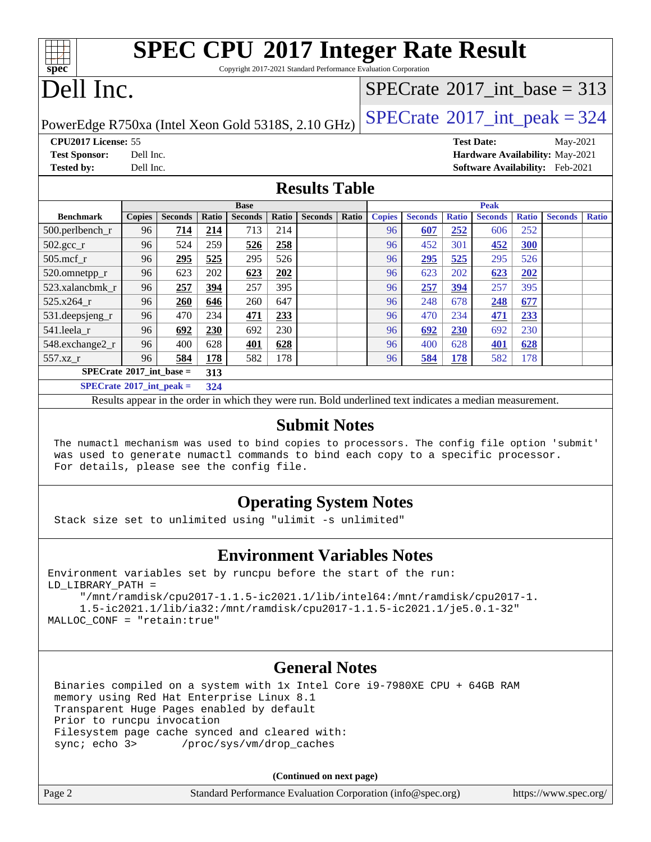| <b>SPEC CPU®2017 Integer Rate Result</b> |
|------------------------------------------|

Copyright 2017-2021 Standard Performance Evaluation Corporation

# Dell Inc.

**[spec](http://www.spec.org/)**

### $SPECTate@2017_int\_base = 313$

PowerEdge R750xa (Intel Xeon Gold 5318S, 2.10 GHz)  $\left|$  [SPECrate](http://www.spec.org/auto/cpu2017/Docs/result-fields.html#SPECrate2017intpeak)<sup>®</sup>[2017\\_int\\_peak = 3](http://www.spec.org/auto/cpu2017/Docs/result-fields.html#SPECrate2017intpeak)24

**[CPU2017 License:](http://www.spec.org/auto/cpu2017/Docs/result-fields.html#CPU2017License)** 55 **[Test Date:](http://www.spec.org/auto/cpu2017/Docs/result-fields.html#TestDate)** May-2021 **[Test Sponsor:](http://www.spec.org/auto/cpu2017/Docs/result-fields.html#TestSponsor)** Dell Inc. **[Hardware Availability:](http://www.spec.org/auto/cpu2017/Docs/result-fields.html#HardwareAvailability)** May-2021 **[Tested by:](http://www.spec.org/auto/cpu2017/Docs/result-fields.html#Testedby)** Dell Inc. **[Software Availability:](http://www.spec.org/auto/cpu2017/Docs/result-fields.html#SoftwareAvailability)** Feb-2021

#### **[Results Table](http://www.spec.org/auto/cpu2017/Docs/result-fields.html#ResultsTable)**

|                                     | <b>Base</b>   |                |       |                |       | <b>Peak</b>    |       |               |                |              |                |              |                |              |
|-------------------------------------|---------------|----------------|-------|----------------|-------|----------------|-------|---------------|----------------|--------------|----------------|--------------|----------------|--------------|
| <b>Benchmark</b>                    | <b>Copies</b> | <b>Seconds</b> | Ratio | <b>Seconds</b> | Ratio | <b>Seconds</b> | Ratio | <b>Copies</b> | <b>Seconds</b> | <b>Ratio</b> | <b>Seconds</b> | <b>Ratio</b> | <b>Seconds</b> | <b>Ratio</b> |
| 500.perlbench_r                     | 96            | 714            | 214   | 713            | 214   |                |       | 96            | 607            | 252          | 606            | 252          |                |              |
| $502.\text{gcc}$ _r                 | 96            | 524            | 259   | 526            | 258   |                |       | 96            | 452            | 301          | 452            | <u>300</u>   |                |              |
| $505$ .mcf r                        | 96            | 295            | 525   | 295            | 526   |                |       | 96            | 295            | 525          | 295            | 526          |                |              |
| 520.omnetpp_r                       | 96            | 623            | 202   | 623            | 202   |                |       | 96            | 623            | 202          | 623            | 202          |                |              |
| 523.xalancbmk r                     | 96            | 257            | 394   | 257            | 395   |                |       | 96            | 257            | 394          | 257            | 395          |                |              |
| 525.x264 r                          | 96            | 260            | 646   | 260            | 647   |                |       | 96            | 248            | 678          | 248            | 677          |                |              |
| 531.deepsjeng_r                     | 96            | 470            | 234   | 471            | 233   |                |       | 96            | 470            | 234          | 471            | 233          |                |              |
| 541.leela r                         | 96            | 692            | 230   | 692            | 230   |                |       | 96            | 692            | 230          | 692            | 230          |                |              |
| 548.exchange2_r                     | 96            | 400            | 628   | 401            | 628   |                |       | 96            | 400            | 628          | <b>401</b>     | 628          |                |              |
| 557.xz r                            | 96            | 584            | 178   | 582            | 178   |                |       | 96            | 584            | 178          | 582            | 178          |                |              |
| $SPECrate^{\circ}2017$ int base =   |               |                | 313   |                |       |                |       |               |                |              |                |              |                |              |
| $SPECrate^{\circ}2017\_int\_peak =$ |               |                | 324   |                |       |                |       |               |                |              |                |              |                |              |

Results appear in the [order in which they were run](http://www.spec.org/auto/cpu2017/Docs/result-fields.html#RunOrder). Bold underlined text [indicates a median measurement](http://www.spec.org/auto/cpu2017/Docs/result-fields.html#Median).

#### **[Submit Notes](http://www.spec.org/auto/cpu2017/Docs/result-fields.html#SubmitNotes)**

 The numactl mechanism was used to bind copies to processors. The config file option 'submit' was used to generate numactl commands to bind each copy to a specific processor. For details, please see the config file.

#### **[Operating System Notes](http://www.spec.org/auto/cpu2017/Docs/result-fields.html#OperatingSystemNotes)**

Stack size set to unlimited using "ulimit -s unlimited"

#### **[Environment Variables Notes](http://www.spec.org/auto/cpu2017/Docs/result-fields.html#EnvironmentVariablesNotes)**

Environment variables set by runcpu before the start of the run: LD\_LIBRARY\_PATH =

 "/mnt/ramdisk/cpu2017-1.1.5-ic2021.1/lib/intel64:/mnt/ramdisk/cpu2017-1. 1.5-ic2021.1/lib/ia32:/mnt/ramdisk/cpu2017-1.1.5-ic2021.1/je5.0.1-32" MALLOC\_CONF = "retain:true"

#### **[General Notes](http://www.spec.org/auto/cpu2017/Docs/result-fields.html#GeneralNotes)**

 Binaries compiled on a system with 1x Intel Core i9-7980XE CPU + 64GB RAM memory using Red Hat Enterprise Linux 8.1 Transparent Huge Pages enabled by default Prior to runcpu invocation Filesystem page cache synced and cleared with: sync; echo 3> /proc/sys/vm/drop\_caches

**(Continued on next page)**

| Page 2<br>Standard Performance Evaluation Corporation (info@spec.org) | https://www.spec.org/ |
|-----------------------------------------------------------------------|-----------------------|
|-----------------------------------------------------------------------|-----------------------|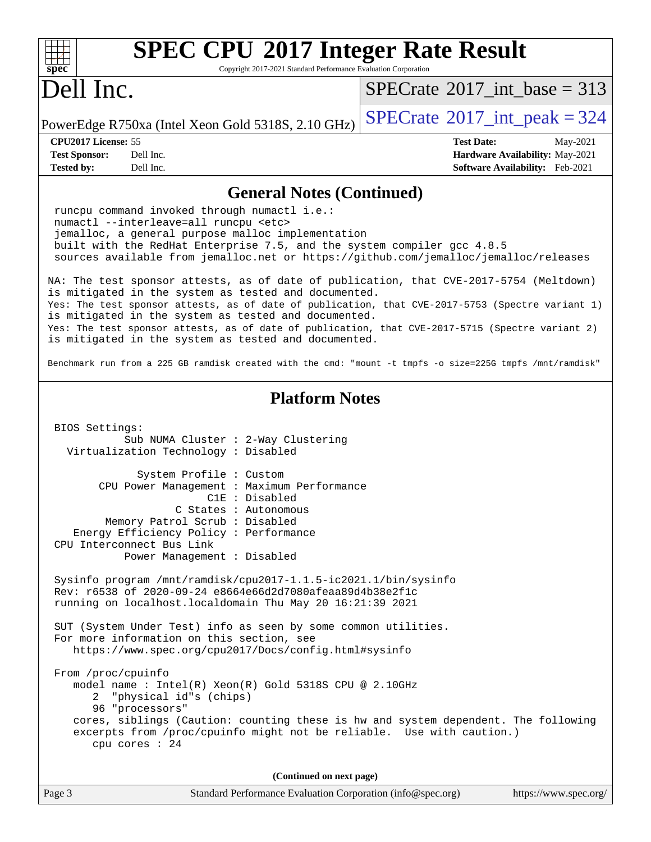| <b>SPEC CPU®2017 Integer Rate Result</b>                                                                                                                                                                                                                                                                                                                                                                                                                               |                                                                  |
|------------------------------------------------------------------------------------------------------------------------------------------------------------------------------------------------------------------------------------------------------------------------------------------------------------------------------------------------------------------------------------------------------------------------------------------------------------------------|------------------------------------------------------------------|
| spec<br>Copyright 2017-2021 Standard Performance Evaluation Corporation                                                                                                                                                                                                                                                                                                                                                                                                |                                                                  |
| Dell Inc.                                                                                                                                                                                                                                                                                                                                                                                                                                                              | $SPECTate$ <sup>®</sup> 2017_int_base = 313                      |
| PowerEdge R750xa (Intel Xeon Gold 5318S, 2.10 GHz)                                                                                                                                                                                                                                                                                                                                                                                                                     | $SPECrate$ <sup>®</sup> 2017_int_peak = 324                      |
| CPU2017 License: 55<br><b>Test Sponsor:</b><br>Dell Inc.                                                                                                                                                                                                                                                                                                                                                                                                               | <b>Test Date:</b><br>May-2021<br>Hardware Availability: May-2021 |
| <b>Tested by:</b><br>Dell Inc.                                                                                                                                                                                                                                                                                                                                                                                                                                         | <b>Software Availability:</b> Feb-2021                           |
| <b>General Notes (Continued)</b>                                                                                                                                                                                                                                                                                                                                                                                                                                       |                                                                  |
| runcpu command invoked through numactl i.e.:<br>numactl --interleave=all runcpu <etc><br/>jemalloc, a general purpose malloc implementation<br/>built with the RedHat Enterprise 7.5, and the system compiler gcc 4.8.5<br/>sources available from jemalloc.net or https://github.com/jemalloc/jemalloc/releases</etc>                                                                                                                                                 |                                                                  |
| NA: The test sponsor attests, as of date of publication, that CVE-2017-5754 (Meltdown)<br>is mitigated in the system as tested and documented.<br>Yes: The test sponsor attests, as of date of publication, that CVE-2017-5753 (Spectre variant 1)<br>is mitigated in the system as tested and documented.<br>Yes: The test sponsor attests, as of date of publication, that CVE-2017-5715 (Spectre variant 2)<br>is mitigated in the system as tested and documented. |                                                                  |
| Benchmark run from a 225 GB ramdisk created with the cmd: "mount -t tmpfs -o size=225G tmpfs /mnt/ramdisk"                                                                                                                                                                                                                                                                                                                                                             |                                                                  |
| <b>Platform Notes</b>                                                                                                                                                                                                                                                                                                                                                                                                                                                  |                                                                  |
| BIOS Settings:<br>Sub NUMA Cluster : 2-Way Clustering<br>Virtualization Technology : Disabled                                                                                                                                                                                                                                                                                                                                                                          |                                                                  |
| System Profile : Custom<br>CPU Power Management : Maximum Performance<br>C1E : Disabled<br>C States : Autonomous<br>Memory Patrol Scrub: Disabled<br>Energy Efficiency Policy : Performance<br>CPU Interconnect Bus Link                                                                                                                                                                                                                                               |                                                                  |
| Power Management : Disabled<br>Sysinfo program /mnt/ramdisk/cpu2017-1.1.5-ic2021.1/bin/sysinfo<br>Rev: r6538 of 2020-09-24 e8664e66d2d7080afeaa89d4b38e2f1c<br>running on localhost.localdomain Thu May 20 16:21:39 2021<br>SUT (System Under Test) info as seen by some common utilities.<br>For more information on this section, see                                                                                                                                |                                                                  |
| https://www.spec.org/cpu2017/Docs/config.html#sysinfo<br>From /proc/cpuinfo<br>model name : Intel(R) Xeon(R) Gold 5318S CPU @ 2.10GHz<br>"physical id"s (chips)<br>2<br>96 "processors"<br>cores, siblings (Caution: counting these is hw and system dependent. The following<br>excerpts from /proc/cpuinfo might not be reliable. Use with caution.)<br>cpu cores : 24                                                                                               |                                                                  |
| (Continued on next page)                                                                                                                                                                                                                                                                                                                                                                                                                                               |                                                                  |
| Page 3<br>Standard Performance Evaluation Corporation (info@spec.org)                                                                                                                                                                                                                                                                                                                                                                                                  | https://www.spec.org/                                            |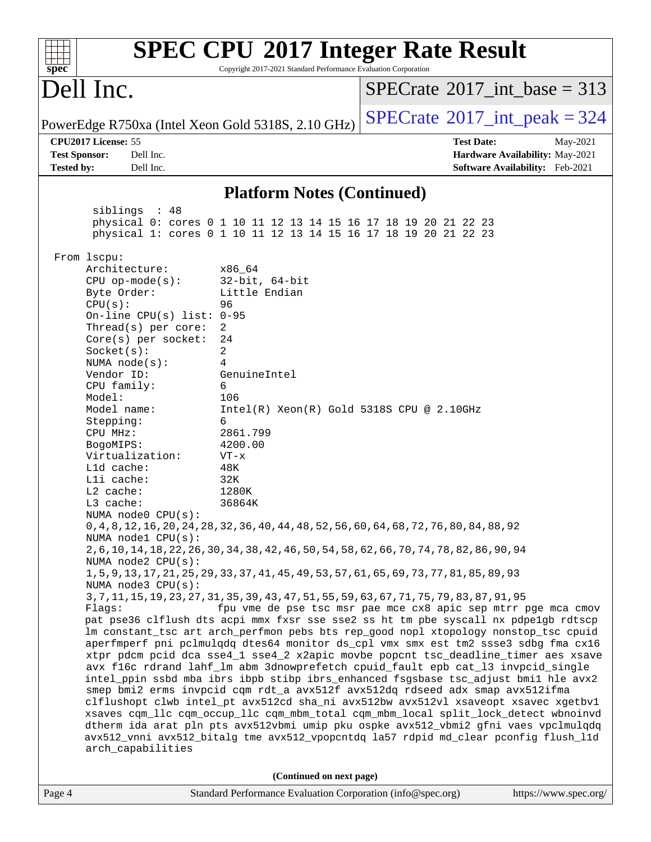| spec®                                                                                                                                                                                                                                                                                                                                                                                                                                                                                           | Copyright 2017-2021 Standard Performance Evaluation Corporation                                                                                                                                                                | <b>SPEC CPU®2017 Integer Rate Result</b>                                                                                                                                                                                                                                                                                                                                                                                                                                                                                                                                                                                                                                                                                                                                                                                                                                                                                                                                                                                                                                                                                                                                                                                                                                                                                                                                                                                                   |
|-------------------------------------------------------------------------------------------------------------------------------------------------------------------------------------------------------------------------------------------------------------------------------------------------------------------------------------------------------------------------------------------------------------------------------------------------------------------------------------------------|--------------------------------------------------------------------------------------------------------------------------------------------------------------------------------------------------------------------------------|--------------------------------------------------------------------------------------------------------------------------------------------------------------------------------------------------------------------------------------------------------------------------------------------------------------------------------------------------------------------------------------------------------------------------------------------------------------------------------------------------------------------------------------------------------------------------------------------------------------------------------------------------------------------------------------------------------------------------------------------------------------------------------------------------------------------------------------------------------------------------------------------------------------------------------------------------------------------------------------------------------------------------------------------------------------------------------------------------------------------------------------------------------------------------------------------------------------------------------------------------------------------------------------------------------------------------------------------------------------------------------------------------------------------------------------------|
| Dell Inc.                                                                                                                                                                                                                                                                                                                                                                                                                                                                                       |                                                                                                                                                                                                                                | $SPECrate^{\circ}2017\_int\_base = 313$                                                                                                                                                                                                                                                                                                                                                                                                                                                                                                                                                                                                                                                                                                                                                                                                                                                                                                                                                                                                                                                                                                                                                                                                                                                                                                                                                                                                    |
| PowerEdge R750xa (Intel Xeon Gold 5318S, 2.10 GHz)                                                                                                                                                                                                                                                                                                                                                                                                                                              |                                                                                                                                                                                                                                | $SPECTate$ <sup>®</sup> 2017_int_peak = 324                                                                                                                                                                                                                                                                                                                                                                                                                                                                                                                                                                                                                                                                                                                                                                                                                                                                                                                                                                                                                                                                                                                                                                                                                                                                                                                                                                                                |
| CPU2017 License: 55<br><b>Test Sponsor:</b><br>Dell Inc.<br><b>Tested by:</b><br>Dell Inc.                                                                                                                                                                                                                                                                                                                                                                                                      |                                                                                                                                                                                                                                | <b>Test Date:</b><br>May-2021<br>Hardware Availability: May-2021<br><b>Software Availability:</b> Feb-2021                                                                                                                                                                                                                                                                                                                                                                                                                                                                                                                                                                                                                                                                                                                                                                                                                                                                                                                                                                                                                                                                                                                                                                                                                                                                                                                                 |
|                                                                                                                                                                                                                                                                                                                                                                                                                                                                                                 | <b>Platform Notes (Continued)</b>                                                                                                                                                                                              |                                                                                                                                                                                                                                                                                                                                                                                                                                                                                                                                                                                                                                                                                                                                                                                                                                                                                                                                                                                                                                                                                                                                                                                                                                                                                                                                                                                                                                            |
| siblings : 48                                                                                                                                                                                                                                                                                                                                                                                                                                                                                   | physical 0: cores 0 1 10 11 12 13 14 15 16 17 18 19 20 21 22 23<br>physical 1: cores 0 1 10 11 12 13 14 15 16 17 18 19 20 21 22 23                                                                                             |                                                                                                                                                                                                                                                                                                                                                                                                                                                                                                                                                                                                                                                                                                                                                                                                                                                                                                                                                                                                                                                                                                                                                                                                                                                                                                                                                                                                                                            |
| From 1scpu:<br>Architecture:<br>$CPU$ op-mode( $s$ ):<br>Byte Order:<br>CPU(s):<br>On-line CPU(s) list: $0-95$<br>Thread(s) per core:<br>Core(s) per socket:<br>Socket(s):<br>NUMA $node(s):$<br>Vendor ID:<br>CPU family:<br>Model:<br>Model name:<br>Stepping:<br>CPU MHz:<br>BogoMIPS:<br>Virtualization:<br>L1d cache:<br>Lli cache:<br>$L2$ cache:<br>L3 cache:<br>NUMA $node0$ $CPU(s):$<br>NUMA nodel CPU(s):<br>NUMA node2 CPU(s):<br>NUMA node3 CPU(s):<br>Flags:<br>arch_capabilities | x86_64<br>$32$ -bit, $64$ -bit<br>Little Endian<br>96<br>2<br>24<br>2<br>4<br>GenuineIntel<br>6<br>106<br>$Intel(R) Xeon(R) Gold 5318S CPU @ 2.10GHz$<br>6<br>2861.799<br>4200.00<br>$VT - x$<br>48K<br>32K<br>1280K<br>36864K | 0, 4, 8, 12, 16, 20, 24, 28, 32, 36, 40, 44, 48, 52, 56, 60, 64, 68, 72, 76, 80, 84, 88, 92<br>2, 6, 10, 14, 18, 22, 26, 30, 34, 38, 42, 46, 50, 54, 58, 62, 66, 70, 74, 78, 82, 86, 90, 94<br>1, 5, 9, 13, 17, 21, 25, 29, 33, 37, 41, 45, 49, 53, 57, 61, 65, 69, 73, 77, 81, 85, 89, 93<br>3, 7, 11, 15, 19, 23, 27, 31, 35, 39, 43, 47, 51, 55, 59, 63, 67, 71, 75, 79, 83, 87, 91, 95<br>fpu vme de pse tsc msr pae mce cx8 apic sep mtrr pge mca cmov<br>pat pse36 clflush dts acpi mmx fxsr sse sse2 ss ht tm pbe syscall nx pdpelgb rdtscp<br>lm constant_tsc art arch_perfmon pebs bts rep_good nopl xtopology nonstop_tsc cpuid<br>aperfmperf pni pclmulqdq dtes64 monitor ds_cpl vmx smx est tm2 ssse3 sdbg fma cx16<br>xtpr pdcm pcid dca sse4_1 sse4_2 x2apic movbe popcnt tsc_deadline_timer aes xsave<br>avx f16c rdrand lahf_lm abm 3dnowprefetch cpuid_fault epb cat_13 invpcid_single<br>intel_ppin ssbd mba ibrs ibpb stibp ibrs_enhanced fsgsbase tsc_adjust bmil hle avx2<br>smep bmi2 erms invpcid cqm rdt_a avx512f avx512dq rdseed adx smap avx512ifma<br>clflushopt clwb intel_pt avx512cd sha_ni avx512bw avx512vl xsaveopt xsavec xgetbvl<br>xsaves cqm_llc cqm_occup_llc cqm_mbm_total cqm_mbm_local split_lock_detect wbnoinvd<br>dtherm ida arat pln pts avx512vbmi umip pku ospke avx512_vbmi2 gfni vaes vpclmulqdq<br>avx512_vnni avx512_bitalg tme avx512_vpopcntdq la57 rdpid md_clear pconfig flush_l1d |
| Page 4                                                                                                                                                                                                                                                                                                                                                                                                                                                                                          | (Continued on next page)<br>Standard Performance Evaluation Corporation (info@spec.org)                                                                                                                                        | https://www.spec.org/                                                                                                                                                                                                                                                                                                                                                                                                                                                                                                                                                                                                                                                                                                                                                                                                                                                                                                                                                                                                                                                                                                                                                                                                                                                                                                                                                                                                                      |

ľ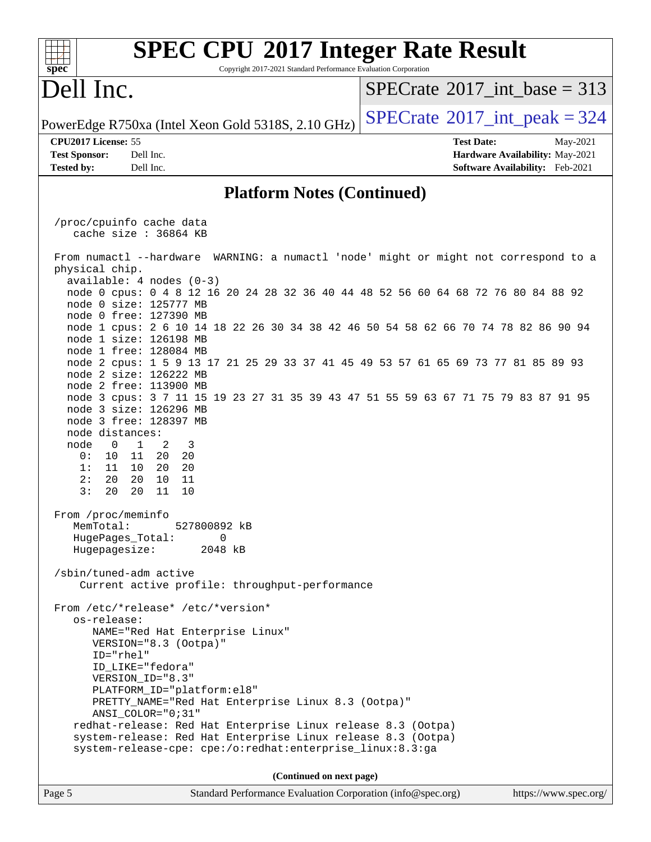| spec <sup>®</sup>                                   | <b>SPEC CPU®2017 Integer Rate Result</b>                                                                                               | Copyright 2017-2021 Standard Performance Evaluation Corporation |                          |  |                   |                                 |                                               |
|-----------------------------------------------------|----------------------------------------------------------------------------------------------------------------------------------------|-----------------------------------------------------------------|--------------------------|--|-------------------|---------------------------------|-----------------------------------------------|
| Dell Inc.                                           |                                                                                                                                        |                                                                 |                          |  |                   |                                 | $SPECrate^{\circledast}2017\_int\_base = 313$ |
|                                                     | PowerEdge R750xa (Intel Xeon Gold 5318S, 2.10 GHz)                                                                                     |                                                                 |                          |  |                   |                                 | $SPECTate$ <sup>®</sup> 2017_int_peak = 324   |
| CPU2017 License: 55                                 |                                                                                                                                        |                                                                 |                          |  | <b>Test Date:</b> |                                 | May-2021                                      |
| <b>Test Sponsor:</b>                                | Dell Inc.                                                                                                                              |                                                                 |                          |  |                   | Hardware Availability: May-2021 |                                               |
| <b>Tested by:</b>                                   | Dell Inc.                                                                                                                              |                                                                 |                          |  |                   | Software Availability: Feb-2021 |                                               |
|                                                     |                                                                                                                                        | <b>Platform Notes (Continued)</b>                               |                          |  |                   |                                 |                                               |
|                                                     | /proc/cpuinfo cache data<br>cache size : 36864 KB                                                                                      |                                                                 |                          |  |                   |                                 |                                               |
| physical chip.                                      | From numactl --hardware<br>$available: 4 nodes (0-3)$                                                                                  | WARNING: a numactl 'node' might or might not correspond to a    |                          |  |                   |                                 |                                               |
|                                                     | node 0 cpus: 0 4 8 12 16 20 24 28 32 36 40 44 48 52 56 60 64 68 72 76 80 84 88 92<br>node 0 size: 125777 MB<br>node 0 free: 127390 MB  |                                                                 |                          |  |                   |                                 |                                               |
|                                                     | node 1 cpus: 2 6 10 14 18 22 26 30 34 38 42 46 50 54 58 62 66 70 74 78 82 86 90 94<br>node 1 size: 126198 MB<br>node 1 free: 128084 MB |                                                                 |                          |  |                   |                                 |                                               |
|                                                     | node 2 cpus: 1 5 9 13 17 21 25 29 33 37 41 45 49 53 57 61 65 69 73 77 81 85 89 93<br>node 2 size: 126222 MB<br>node 2 free: 113900 MB  |                                                                 |                          |  |                   |                                 |                                               |
|                                                     | node 3 cpus: 3 7 11 15 19 23 27 31 35 39 43 47 51 55 59 63 67 71 75 79 83 87 91 95<br>node 3 size: 126296 MB<br>node 3 free: 128397 MB |                                                                 |                          |  |                   |                                 |                                               |
| node distances:<br>node<br>$\mathbf 0$<br>0 :<br>10 | $\mathbf{1}$<br>2<br>3<br>11<br>20<br>- 20                                                                                             |                                                                 |                          |  |                   |                                 |                                               |
| 1:<br>11<br>2:<br>20<br>3:<br>20                    | 10<br>20<br>20<br>20<br>10<br>11<br>20<br>11<br>10                                                                                     |                                                                 |                          |  |                   |                                 |                                               |
| From /proc/meminfo<br>MemTotal:                     | 527800892 kB                                                                                                                           |                                                                 |                          |  |                   |                                 |                                               |
|                                                     | HugePages_Total:<br>Hugepagesize:                                                                                                      | 0<br>2048 kB                                                    |                          |  |                   |                                 |                                               |
|                                                     | /sbin/tuned-adm active<br>Current active profile: throughput-performance                                                               |                                                                 |                          |  |                   |                                 |                                               |
|                                                     | From /etc/*release* /etc/*version*                                                                                                     |                                                                 |                          |  |                   |                                 |                                               |
| os-release:                                         | NAME="Red Hat Enterprise Linux"<br>VERSION="8.3 (Ootpa)"                                                                               |                                                                 |                          |  |                   |                                 |                                               |
|                                                     | $ID="rhe1"$<br>ID_LIKE="fedora"                                                                                                        |                                                                 |                          |  |                   |                                 |                                               |
|                                                     | VERSION_ID="8.3"                                                                                                                       |                                                                 |                          |  |                   |                                 |                                               |
|                                                     | PLATFORM_ID="platform:el8"<br>PRETTY_NAME="Red Hat Enterprise Linux 8.3 (Ootpa)"<br>ANSI_COLOR="0;31"                                  |                                                                 |                          |  |                   |                                 |                                               |
|                                                     | redhat-release: Red Hat Enterprise Linux release 8.3 (Ootpa)<br>system-release: Red Hat Enterprise Linux release 8.3 (Ootpa)           |                                                                 |                          |  |                   |                                 |                                               |
|                                                     | system-release-cpe: cpe:/o:redhat:enterprise_linux:8.3:ga                                                                              |                                                                 |                          |  |                   |                                 |                                               |
|                                                     |                                                                                                                                        |                                                                 | (Continued on next page) |  |                   |                                 |                                               |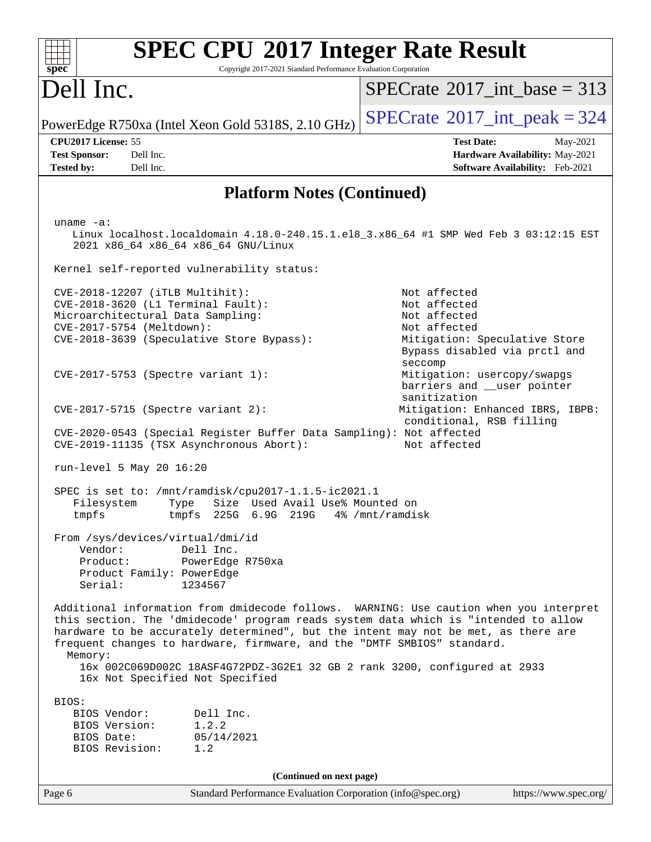| <b>SPEC CPU®2017 Integer Rate Result</b><br>Copyright 2017-2021 Standard Performance Evaluation Corporation<br>spec <sup>®</sup>                                                                                                                                                                                                                                                                                                                                          |                                                                                                                                           |
|---------------------------------------------------------------------------------------------------------------------------------------------------------------------------------------------------------------------------------------------------------------------------------------------------------------------------------------------------------------------------------------------------------------------------------------------------------------------------|-------------------------------------------------------------------------------------------------------------------------------------------|
| Dell Inc.                                                                                                                                                                                                                                                                                                                                                                                                                                                                 | $SPECTate$ <sup>®</sup> 2017_int_base = 313                                                                                               |
| PowerEdge R750xa (Intel Xeon Gold 5318S, 2.10 GHz)                                                                                                                                                                                                                                                                                                                                                                                                                        | $SPECTate$ <sup>®</sup> 2017_int_peak = 324                                                                                               |
| CPU2017 License: 55<br>Dell Inc.<br><b>Test Sponsor:</b><br>Dell Inc.<br><b>Tested by:</b>                                                                                                                                                                                                                                                                                                                                                                                | <b>Test Date:</b><br>May-2021<br>Hardware Availability: May-2021<br>Software Availability: Feb-2021                                       |
| <b>Platform Notes (Continued)</b>                                                                                                                                                                                                                                                                                                                                                                                                                                         |                                                                                                                                           |
| uname $-a$ :<br>Linux localhost.localdomain 4.18.0-240.15.1.el8_3.x86_64 #1 SMP Wed Feb 3 03:12:15 EST<br>2021 x86_64 x86_64 x86_64 GNU/Linux<br>Kernel self-reported vulnerability status:                                                                                                                                                                                                                                                                               |                                                                                                                                           |
| CVE-2018-12207 (iTLB Multihit):<br>CVE-2018-3620 (L1 Terminal Fault):<br>Microarchitectural Data Sampling:<br>CVE-2017-5754 (Meltdown):<br>CVE-2018-3639 (Speculative Store Bypass):                                                                                                                                                                                                                                                                                      | Not affected<br>Not affected<br>Not affected<br>Not affected<br>Mitigation: Speculative Store<br>Bypass disabled via prctl and<br>seccomp |
| CVE-2017-5753 (Spectre variant 1):                                                                                                                                                                                                                                                                                                                                                                                                                                        | Mitigation: usercopy/swapgs<br>barriers and __user pointer<br>sanitization                                                                |
| $CVE-2017-5715$ (Spectre variant 2):<br>CVE-2020-0543 (Special Register Buffer Data Sampling): Not affected<br>CVE-2019-11135 (TSX Asynchronous Abort):                                                                                                                                                                                                                                                                                                                   | Mitigation: Enhanced IBRS, IBPB:<br>conditional, RSB filling<br>Not affected                                                              |
| run-level 5 May 20 16:20                                                                                                                                                                                                                                                                                                                                                                                                                                                  |                                                                                                                                           |
| SPEC is set to: /mnt/ramdisk/cpu2017-1.1.5-ic2021.1<br>Size Used Avail Use% Mounted on<br>Filesystem<br>Type<br>tmpfs<br>tmpfs<br>225G 6.9G 219G                                                                                                                                                                                                                                                                                                                          | 4% /mnt/ramdisk                                                                                                                           |
| From /sys/devices/virtual/dmi/id<br>Vendor:<br>Dell Inc.<br>Product:<br>PowerEdge R750xa<br>Product Family: PowerEdge<br>Serial:<br>1234567                                                                                                                                                                                                                                                                                                                               |                                                                                                                                           |
| Additional information from dmidecode follows. WARNING: Use caution when you interpret<br>this section. The 'dmidecode' program reads system data which is "intended to allow<br>hardware to be accurately determined", but the intent may not be met, as there are<br>frequent changes to hardware, firmware, and the "DMTF SMBIOS" standard.<br>Memory:<br>16x 002C069D002C 18ASF4G72PDZ-3G2E1 32 GB 2 rank 3200, configured at 2933<br>16x Not Specified Not Specified |                                                                                                                                           |
| BIOS:<br>Dell Inc.<br>BIOS Vendor:<br>BIOS Version:<br>1.2.2<br>BIOS Date:<br>05/14/2021<br>BIOS Revision:<br>1.2                                                                                                                                                                                                                                                                                                                                                         |                                                                                                                                           |
| (Continued on next page)                                                                                                                                                                                                                                                                                                                                                                                                                                                  |                                                                                                                                           |
| Page 6<br>Standard Performance Evaluation Corporation (info@spec.org)                                                                                                                                                                                                                                                                                                                                                                                                     | https://www.spec.org/                                                                                                                     |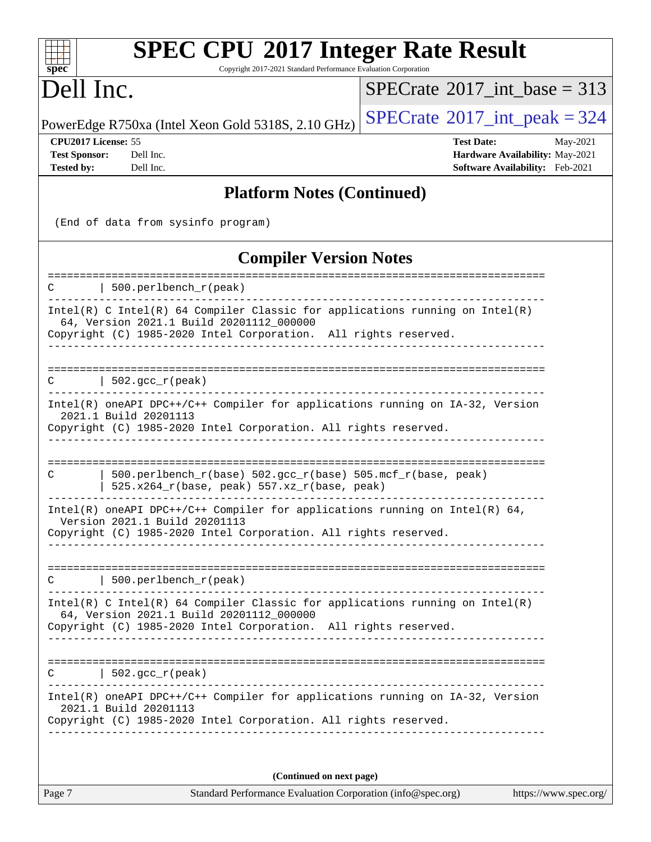Copyright 2017-2021 Standard Performance Evaluation Corporation

# Dell Inc.

**[spec](http://www.spec.org/)**

 $+++$ 

 $SPECrate$ <sup>®</sup>[2017\\_int\\_base =](http://www.spec.org/auto/cpu2017/Docs/result-fields.html#SPECrate2017intbase) 313

PowerEdge R750xa (Intel Xeon Gold 5318S, 2.10 GHz)  $\text{SPECrate}^{\circ}2017\_int\_peak = 324$  $\text{SPECrate}^{\circ}2017\_int\_peak = 324$  $\text{SPECrate}^{\circ}2017\_int\_peak = 324$ 

**[CPU2017 License:](http://www.spec.org/auto/cpu2017/Docs/result-fields.html#CPU2017License)** 55 **[Test Date:](http://www.spec.org/auto/cpu2017/Docs/result-fields.html#TestDate)** May-2021

**[Test Sponsor:](http://www.spec.org/auto/cpu2017/Docs/result-fields.html#TestSponsor)** Dell Inc. **[Hardware Availability:](http://www.spec.org/auto/cpu2017/Docs/result-fields.html#HardwareAvailability)** May-2021 **[Tested by:](http://www.spec.org/auto/cpu2017/Docs/result-fields.html#Testedby)** Dell Inc. **[Software Availability:](http://www.spec.org/auto/cpu2017/Docs/result-fields.html#SoftwareAvailability)** Feb-2021

#### **[Platform Notes \(Continued\)](http://www.spec.org/auto/cpu2017/Docs/result-fields.html#PlatformNotes)**

(End of data from sysinfo program)

## **[Compiler Version Notes](http://www.spec.org/auto/cpu2017/Docs/result-fields.html#CompilerVersionNotes)**

| 500.perlbench_r(peak)<br>C                                                                                                                                                                    |
|-----------------------------------------------------------------------------------------------------------------------------------------------------------------------------------------------|
| Intel(R) C Intel(R) 64 Compiler Classic for applications running on Intel(R)<br>64, Version 2021.1 Build 20201112 000000<br>Copyright (C) 1985-2020 Intel Corporation. All rights reserved.   |
| ======================================<br>$502.$ gcc_r(peak)<br>C                                                                                                                             |
| Intel(R) oneAPI DPC++/C++ Compiler for applications running on IA-32, Version<br>2021.1 Build 20201113<br>Copyright (C) 1985-2020 Intel Corporation. All rights reserved.                     |
| 500.perlbench_r(base) 502.gcc_r(base) 505.mcf_r(base, peak)<br>C<br>525.x264_r(base, peak) 557.xz_r(base, peak)                                                                               |
| Intel(R) oneAPI DPC++/C++ Compiler for applications running on Intel(R) 64,<br>Version 2021.1 Build 20201113<br>Copyright (C) 1985-2020 Intel Corporation. All rights reserved.               |
| 500.perlbench_r(peak)<br>---------------                                                                                                                                                      |
| $Intel(R)$ C Intel(R) 64 Compiler Classic for applications running on Intel(R)<br>64, Version 2021.1 Build 20201112_000000<br>Copyright (C) 1985-2020 Intel Corporation. All rights reserved. |
| 502. $qcc r (peak)$<br>C                                                                                                                                                                      |
| Intel(R) oneAPI DPC++/C++ Compiler for applications running on IA-32, Version<br>2021.1 Build 20201113<br>Copyright (C) 1985-2020 Intel Corporation. All rights reserved.                     |
| (Continued on next page)                                                                                                                                                                      |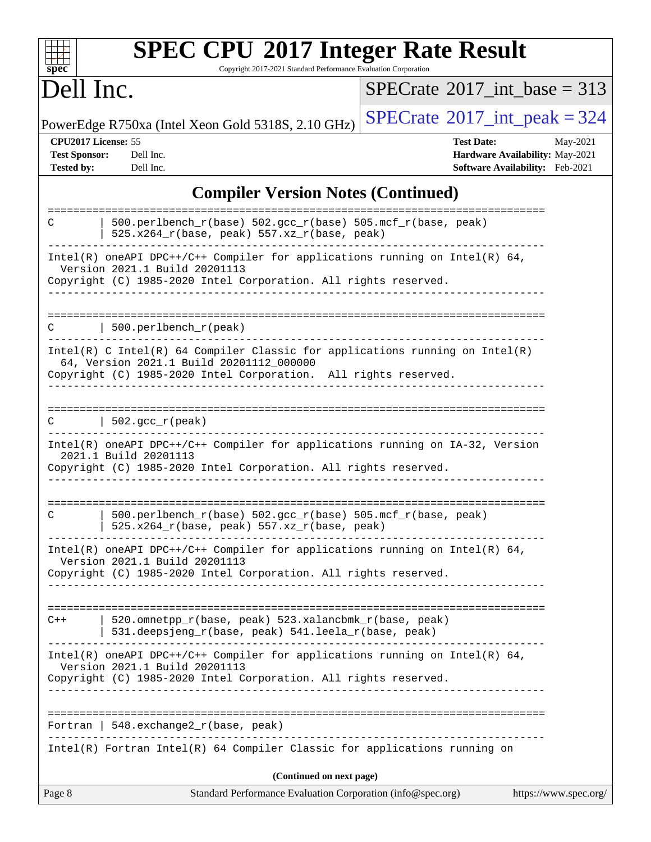| spec <sup>®</sup>                                                | <b>SPEC CPU®2017 Integer Rate Result</b><br>Copyright 2017-2021 Standard Performance Evaluation Corporation                                                                                   |                                              |                                                                                |
|------------------------------------------------------------------|-----------------------------------------------------------------------------------------------------------------------------------------------------------------------------------------------|----------------------------------------------|--------------------------------------------------------------------------------|
| Dell Inc.                                                        |                                                                                                                                                                                               | $SPECrate^{\circledcirc}2017$ int base = 313 |                                                                                |
|                                                                  | PowerEdge R750xa (Intel Xeon Gold 5318S, 2.10 GHz)                                                                                                                                            | $SPECTate@2017_int\_peak = 324$              |                                                                                |
| CPU2017 License: 55<br><b>Test Sponsor:</b><br><b>Tested by:</b> | Dell Inc.<br>Dell Inc.                                                                                                                                                                        | <b>Test Date:</b>                            | May-2021<br>Hardware Availability: May-2021<br>Software Availability: Feb-2021 |
|                                                                  | <b>Compiler Version Notes (Continued)</b>                                                                                                                                                     |                                              |                                                                                |
| С                                                                | 500.perlbench_r(base) 502.gcc_r(base) 505.mcf_r(base, peak)<br>525.x264_r(base, peak) 557.xz_r(base, peak)                                                                                    |                                              |                                                                                |
|                                                                  | Intel(R) oneAPI DPC++/C++ Compiler for applications running on Intel(R) 64,<br>Version 2021.1 Build 20201113<br>Copyright (C) 1985-2020 Intel Corporation. All rights reserved.               |                                              |                                                                                |
| С                                                                | 500.perlbench_r(peak)                                                                                                                                                                         |                                              |                                                                                |
|                                                                  | $Intel(R)$ C Intel(R) 64 Compiler Classic for applications running on Intel(R)<br>64, Version 2021.1 Build 20201112_000000<br>Copyright (C) 1985-2020 Intel Corporation. All rights reserved. |                                              |                                                                                |
|                                                                  | 502.gcc_r(peak)                                                                                                                                                                               |                                              |                                                                                |
|                                                                  | Intel(R) oneAPI DPC++/C++ Compiler for applications running on IA-32, Version<br>2021.1 Build 20201113<br>Copyright (C) 1985-2020 Intel Corporation. All rights reserved.                     |                                              |                                                                                |
| С                                                                | 500.perlbench_r(base) 502.gcc_r(base) 505.mcf_r(base, peak)<br>525.x264_r(base, peak) 557.xz_r(base, peak)                                                                                    |                                              |                                                                                |
|                                                                  | Intel(R) oneAPI DPC++/C++ Compiler for applications running on Intel(R) $64$ ,<br>Version 2021.1 Build 20201113<br>Copyright (C) 1985-2020 Intel Corporation. All rights reserved.            |                                              |                                                                                |
| $C++$                                                            | 520.omnetpp_r(base, peak) 523.xalancbmk_r(base, peak)<br>531.deepsjeng_r(base, peak) 541.leela_r(base, peak)                                                                                  |                                              |                                                                                |
|                                                                  | Intel(R) oneAPI DPC++/C++ Compiler for applications running on Intel(R) 64,<br>Version 2021.1 Build 20201113<br>Copyright (C) 1985-2020 Intel Corporation. All rights reserved.               |                                              |                                                                                |
|                                                                  | Fortran   548.exchange2_r(base, peak)                                                                                                                                                         |                                              |                                                                                |
|                                                                  | Intel(R) Fortran Intel(R) 64 Compiler Classic for applications running on                                                                                                                     |                                              |                                                                                |
| Page 8                                                           | (Continued on next page)<br>Standard Performance Evaluation Corporation (info@spec.org)                                                                                                       |                                              | https://www.spec.org/                                                          |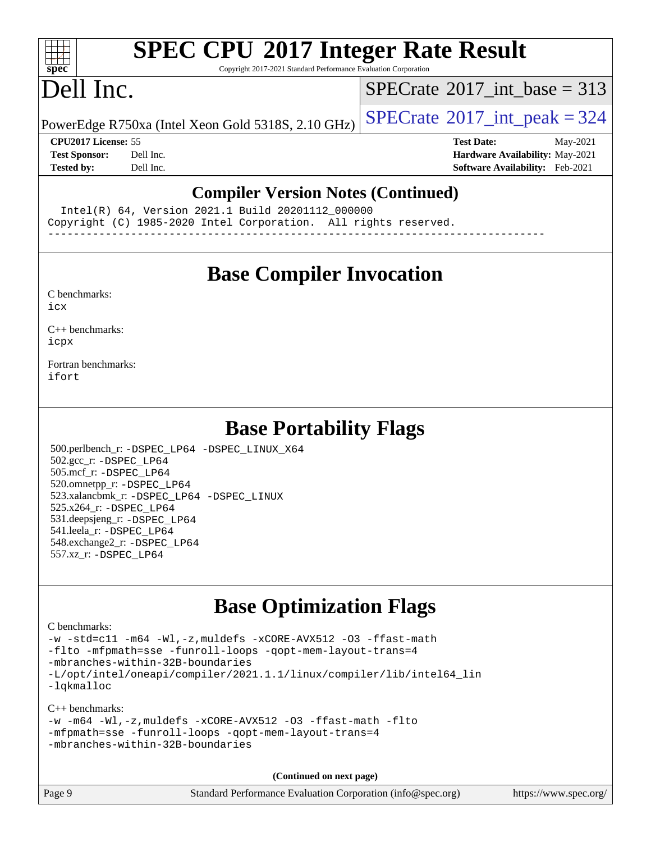# **[SPEC CPU](http://www.spec.org/auto/cpu2017/Docs/result-fields.html#SPECCPU2017IntegerRateResult)[2017 Integer Rate Result](http://www.spec.org/auto/cpu2017/Docs/result-fields.html#SPECCPU2017IntegerRateResult)**

Copyright 2017-2021 Standard Performance Evaluation Corporation

# Dell Inc.

**[spec](http://www.spec.org/)**

 $\pm t$ 

 $SPECTate@2017_int\_base = 313$ 

PowerEdge R750xa (Intel Xeon Gold 5318S, 2.10 GHz)  $\left|$  [SPECrate](http://www.spec.org/auto/cpu2017/Docs/result-fields.html#SPECrate2017intpeak)<sup>®</sup>[2017\\_int\\_peak = 3](http://www.spec.org/auto/cpu2017/Docs/result-fields.html#SPECrate2017intpeak)24

**[Tested by:](http://www.spec.org/auto/cpu2017/Docs/result-fields.html#Testedby)** Dell Inc. **[Software Availability:](http://www.spec.org/auto/cpu2017/Docs/result-fields.html#SoftwareAvailability)** Feb-2021

**[CPU2017 License:](http://www.spec.org/auto/cpu2017/Docs/result-fields.html#CPU2017License)** 55 **[Test Date:](http://www.spec.org/auto/cpu2017/Docs/result-fields.html#TestDate)** May-2021 **[Test Sponsor:](http://www.spec.org/auto/cpu2017/Docs/result-fields.html#TestSponsor)** Dell Inc. **[Hardware Availability:](http://www.spec.org/auto/cpu2017/Docs/result-fields.html#HardwareAvailability)** May-2021

#### **[Compiler Version Notes \(Continued\)](http://www.spec.org/auto/cpu2017/Docs/result-fields.html#CompilerVersionNotes)**

 Intel(R) 64, Version 2021.1 Build 20201112\_000000 Copyright (C) 1985-2020 Intel Corporation. All rights reserved.

------------------------------------------------------------------------------

## **[Base Compiler Invocation](http://www.spec.org/auto/cpu2017/Docs/result-fields.html#BaseCompilerInvocation)**

[C benchmarks](http://www.spec.org/auto/cpu2017/Docs/result-fields.html#Cbenchmarks):

[icx](http://www.spec.org/cpu2017/results/res2021q3/cpu2017-20210618-27080.flags.html#user_CCbase_intel_icx_fe2d28d19ae2a5db7c42fe0f2a2aed77cb715edd4aeb23434404a8be6683fe239869bb6ca8154ca98265c2e3b9226a719a0efe2953a4a7018c379b7010ccf087)

[C++ benchmarks:](http://www.spec.org/auto/cpu2017/Docs/result-fields.html#CXXbenchmarks) [icpx](http://www.spec.org/cpu2017/results/res2021q3/cpu2017-20210618-27080.flags.html#user_CXXbase_intel_icpx_1e918ed14c436bf4b9b7c8bcdd51d4539fc71b3df010bd1e9f8732d9c34c2b2914e48204a846820f3c0ebb4095dea797a5c30b458ac0b6dffac65d78f781f5ca)

[Fortran benchmarks](http://www.spec.org/auto/cpu2017/Docs/result-fields.html#Fortranbenchmarks): [ifort](http://www.spec.org/cpu2017/results/res2021q3/cpu2017-20210618-27080.flags.html#user_FCbase_intel_ifort_8111460550e3ca792625aed983ce982f94888b8b503583aa7ba2b8303487b4d8a21a13e7191a45c5fd58ff318f48f9492884d4413fa793fd88dd292cad7027ca)

## **[Base Portability Flags](http://www.spec.org/auto/cpu2017/Docs/result-fields.html#BasePortabilityFlags)**

 500.perlbench\_r: [-DSPEC\\_LP64](http://www.spec.org/cpu2017/results/res2021q3/cpu2017-20210618-27080.flags.html#b500.perlbench_r_basePORTABILITY_DSPEC_LP64) [-DSPEC\\_LINUX\\_X64](http://www.spec.org/cpu2017/results/res2021q3/cpu2017-20210618-27080.flags.html#b500.perlbench_r_baseCPORTABILITY_DSPEC_LINUX_X64) 502.gcc\_r: [-DSPEC\\_LP64](http://www.spec.org/cpu2017/results/res2021q3/cpu2017-20210618-27080.flags.html#suite_basePORTABILITY502_gcc_r_DSPEC_LP64) 505.mcf\_r: [-DSPEC\\_LP64](http://www.spec.org/cpu2017/results/res2021q3/cpu2017-20210618-27080.flags.html#suite_basePORTABILITY505_mcf_r_DSPEC_LP64) 520.omnetpp\_r: [-DSPEC\\_LP64](http://www.spec.org/cpu2017/results/res2021q3/cpu2017-20210618-27080.flags.html#suite_basePORTABILITY520_omnetpp_r_DSPEC_LP64) 523.xalancbmk\_r: [-DSPEC\\_LP64](http://www.spec.org/cpu2017/results/res2021q3/cpu2017-20210618-27080.flags.html#suite_basePORTABILITY523_xalancbmk_r_DSPEC_LP64) [-DSPEC\\_LINUX](http://www.spec.org/cpu2017/results/res2021q3/cpu2017-20210618-27080.flags.html#b523.xalancbmk_r_baseCXXPORTABILITY_DSPEC_LINUX) 525.x264\_r: [-DSPEC\\_LP64](http://www.spec.org/cpu2017/results/res2021q3/cpu2017-20210618-27080.flags.html#suite_basePORTABILITY525_x264_r_DSPEC_LP64) 531.deepsjeng\_r: [-DSPEC\\_LP64](http://www.spec.org/cpu2017/results/res2021q3/cpu2017-20210618-27080.flags.html#suite_basePORTABILITY531_deepsjeng_r_DSPEC_LP64) 541.leela\_r: [-DSPEC\\_LP64](http://www.spec.org/cpu2017/results/res2021q3/cpu2017-20210618-27080.flags.html#suite_basePORTABILITY541_leela_r_DSPEC_LP64) 548.exchange2\_r: [-DSPEC\\_LP64](http://www.spec.org/cpu2017/results/res2021q3/cpu2017-20210618-27080.flags.html#suite_basePORTABILITY548_exchange2_r_DSPEC_LP64) 557.xz\_r: [-DSPEC\\_LP64](http://www.spec.org/cpu2017/results/res2021q3/cpu2017-20210618-27080.flags.html#suite_basePORTABILITY557_xz_r_DSPEC_LP64)

## **[Base Optimization Flags](http://www.spec.org/auto/cpu2017/Docs/result-fields.html#BaseOptimizationFlags)**

[C benchmarks](http://www.spec.org/auto/cpu2017/Docs/result-fields.html#Cbenchmarks):

[-w](http://www.spec.org/cpu2017/results/res2021q3/cpu2017-20210618-27080.flags.html#user_CCbase_supress_warning_66fb2c4e5c1dd10f38bdd29623979399e5ae75ae6e5453792d82ef66afed381df4a8602f92cac8d2ea0fffa7b93b4b1ccb9ecad4af01c9b2fe338b2082ae3859) [-std=c11](http://www.spec.org/cpu2017/results/res2021q3/cpu2017-20210618-27080.flags.html#user_CCbase_std-icc-std_0e1c27790398a4642dfca32ffe6c27b5796f9c2d2676156f2e42c9c44eaad0c049b1cdb667a270c34d979996257aeb8fc440bfb01818dbc9357bd9d174cb8524) [-m64](http://www.spec.org/cpu2017/results/res2021q3/cpu2017-20210618-27080.flags.html#user_CCbase_m64-icc) [-Wl,-z,muldefs](http://www.spec.org/cpu2017/results/res2021q3/cpu2017-20210618-27080.flags.html#user_CCbase_link_force_multiple1_b4cbdb97b34bdee9ceefcfe54f4c8ea74255f0b02a4b23e853cdb0e18eb4525ac79b5a88067c842dd0ee6996c24547a27a4b99331201badda8798ef8a743f577) [-xCORE-AVX512](http://www.spec.org/cpu2017/results/res2021q3/cpu2017-20210618-27080.flags.html#user_CCbase_f-xCORE-AVX512) [-O3](http://www.spec.org/cpu2017/results/res2021q3/cpu2017-20210618-27080.flags.html#user_CCbase_f-O3) [-ffast-math](http://www.spec.org/cpu2017/results/res2021q3/cpu2017-20210618-27080.flags.html#user_CCbase_f-ffast-math) [-flto](http://www.spec.org/cpu2017/results/res2021q3/cpu2017-20210618-27080.flags.html#user_CCbase_f-flto) [-mfpmath=sse](http://www.spec.org/cpu2017/results/res2021q3/cpu2017-20210618-27080.flags.html#user_CCbase_f-mfpmath_70eb8fac26bde974f8ab713bc9086c5621c0b8d2f6c86f38af0bd7062540daf19db5f3a066d8c6684be05d84c9b6322eb3b5be6619d967835195b93d6c02afa1) [-funroll-loops](http://www.spec.org/cpu2017/results/res2021q3/cpu2017-20210618-27080.flags.html#user_CCbase_f-funroll-loops) [-qopt-mem-layout-trans=4](http://www.spec.org/cpu2017/results/res2021q3/cpu2017-20210618-27080.flags.html#user_CCbase_f-qopt-mem-layout-trans_fa39e755916c150a61361b7846f310bcdf6f04e385ef281cadf3647acec3f0ae266d1a1d22d972a7087a248fd4e6ca390a3634700869573d231a252c784941a8) [-mbranches-within-32B-boundaries](http://www.spec.org/cpu2017/results/res2021q3/cpu2017-20210618-27080.flags.html#user_CCbase_f-mbranches-within-32B-boundaries) [-L/opt/intel/oneapi/compiler/2021.1.1/linux/compiler/lib/intel64\\_lin](http://www.spec.org/cpu2017/results/res2021q3/cpu2017-20210618-27080.flags.html#user_CCbase_linkpath_f3ac96bc44eb3356c66274e76f12ce7989555e6431aa425d8bf37251b5a0a8e4f20d385a762420f3e0cdf627bb737484454017ddfa67f55a42ce17058c8be12d) [-lqkmalloc](http://www.spec.org/cpu2017/results/res2021q3/cpu2017-20210618-27080.flags.html#user_CCbase_qkmalloc_link_lib_79a818439969f771c6bc311cfd333c00fc099dad35c030f5aab9dda831713d2015205805422f83de8875488a2991c0a156aaa600e1f9138f8fc37004abc96dc5)

[C++ benchmarks:](http://www.spec.org/auto/cpu2017/Docs/result-fields.html#CXXbenchmarks)

|  |                                  |  | $-w$ -m64 -Wl,-z, muldefs -xCORE-AVX512 -03 -ffast-math -flto |  |
|--|----------------------------------|--|---------------------------------------------------------------|--|
|  |                                  |  | -mfpmath=sse -funroll-loops -gopt-mem-layout-trans=4          |  |
|  | -mbranches-within-32B-boundaries |  |                                                               |  |

**(Continued on next page)**

| Page 9 | Standard Performance Evaluation Corporation (info@spec.org) | https://www.spec.org/ |
|--------|-------------------------------------------------------------|-----------------------|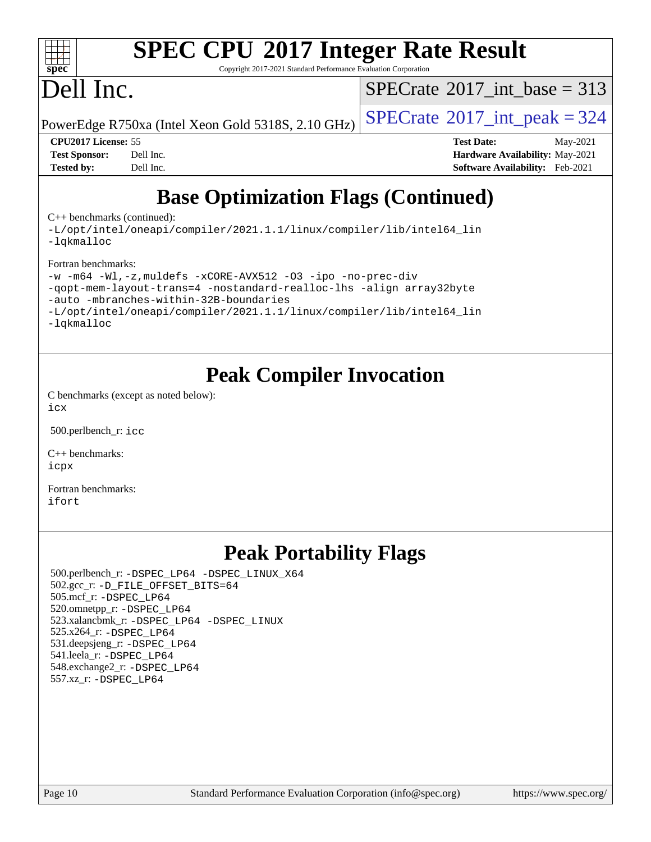

# **[SPEC CPU](http://www.spec.org/auto/cpu2017/Docs/result-fields.html#SPECCPU2017IntegerRateResult)[2017 Integer Rate Result](http://www.spec.org/auto/cpu2017/Docs/result-fields.html#SPECCPU2017IntegerRateResult)**

Copyright 2017-2021 Standard Performance Evaluation Corporation

# Dell Inc.

 $SPECTate@2017_int\_base = 313$ 

PowerEdge R750xa (Intel Xeon Gold 5318S, 2.10 GHz)  $\left|$  [SPECrate](http://www.spec.org/auto/cpu2017/Docs/result-fields.html#SPECrate2017intpeak)®[2017\\_int\\_peak = 3](http://www.spec.org/auto/cpu2017/Docs/result-fields.html#SPECrate2017intpeak)24

**[Tested by:](http://www.spec.org/auto/cpu2017/Docs/result-fields.html#Testedby)** Dell Inc. **[Software Availability:](http://www.spec.org/auto/cpu2017/Docs/result-fields.html#SoftwareAvailability)** Feb-2021

**[CPU2017 License:](http://www.spec.org/auto/cpu2017/Docs/result-fields.html#CPU2017License)** 55 **[Test Date:](http://www.spec.org/auto/cpu2017/Docs/result-fields.html#TestDate)** May-2021 **[Test Sponsor:](http://www.spec.org/auto/cpu2017/Docs/result-fields.html#TestSponsor)** Dell Inc. **[Hardware Availability:](http://www.spec.org/auto/cpu2017/Docs/result-fields.html#HardwareAvailability)** May-2021

## **[Base Optimization Flags \(Continued\)](http://www.spec.org/auto/cpu2017/Docs/result-fields.html#BaseOptimizationFlags)**

[C++ benchmarks](http://www.spec.org/auto/cpu2017/Docs/result-fields.html#CXXbenchmarks) (continued):

[-L/opt/intel/oneapi/compiler/2021.1.1/linux/compiler/lib/intel64\\_lin](http://www.spec.org/cpu2017/results/res2021q3/cpu2017-20210618-27080.flags.html#user_CXXbase_linkpath_f3ac96bc44eb3356c66274e76f12ce7989555e6431aa425d8bf37251b5a0a8e4f20d385a762420f3e0cdf627bb737484454017ddfa67f55a42ce17058c8be12d) [-lqkmalloc](http://www.spec.org/cpu2017/results/res2021q3/cpu2017-20210618-27080.flags.html#user_CXXbase_qkmalloc_link_lib_79a818439969f771c6bc311cfd333c00fc099dad35c030f5aab9dda831713d2015205805422f83de8875488a2991c0a156aaa600e1f9138f8fc37004abc96dc5)

[Fortran benchmarks](http://www.spec.org/auto/cpu2017/Docs/result-fields.html#Fortranbenchmarks):

```
-w -m64 -Wl,-z,muldefs -xCORE-AVX512 -O3 -ipo -no-prec-div
```
[-qopt-mem-layout-trans=4](http://www.spec.org/cpu2017/results/res2021q3/cpu2017-20210618-27080.flags.html#user_FCbase_f-qopt-mem-layout-trans_fa39e755916c150a61361b7846f310bcdf6f04e385ef281cadf3647acec3f0ae266d1a1d22d972a7087a248fd4e6ca390a3634700869573d231a252c784941a8) [-nostandard-realloc-lhs](http://www.spec.org/cpu2017/results/res2021q3/cpu2017-20210618-27080.flags.html#user_FCbase_f_2003_std_realloc_82b4557e90729c0f113870c07e44d33d6f5a304b4f63d4c15d2d0f1fab99f5daaed73bdb9275d9ae411527f28b936061aa8b9c8f2d63842963b95c9dd6426b8a) [-align array32byte](http://www.spec.org/cpu2017/results/res2021q3/cpu2017-20210618-27080.flags.html#user_FCbase_align_array32byte_b982fe038af199962ba9a80c053b8342c548c85b40b8e86eb3cc33dee0d7986a4af373ac2d51c3f7cf710a18d62fdce2948f201cd044323541f22fc0fffc51b6)

[-auto](http://www.spec.org/cpu2017/results/res2021q3/cpu2017-20210618-27080.flags.html#user_FCbase_f-auto) [-mbranches-within-32B-boundaries](http://www.spec.org/cpu2017/results/res2021q3/cpu2017-20210618-27080.flags.html#user_FCbase_f-mbranches-within-32B-boundaries)

```
-L/opt/intel/oneapi/compiler/2021.1.1/linux/compiler/lib/intel64_lin
```
[-lqkmalloc](http://www.spec.org/cpu2017/results/res2021q3/cpu2017-20210618-27080.flags.html#user_FCbase_qkmalloc_link_lib_79a818439969f771c6bc311cfd333c00fc099dad35c030f5aab9dda831713d2015205805422f83de8875488a2991c0a156aaa600e1f9138f8fc37004abc96dc5)

## **[Peak Compiler Invocation](http://www.spec.org/auto/cpu2017/Docs/result-fields.html#PeakCompilerInvocation)**

[C benchmarks \(except as noted below\)](http://www.spec.org/auto/cpu2017/Docs/result-fields.html#Cbenchmarksexceptasnotedbelow): [icx](http://www.spec.org/cpu2017/results/res2021q3/cpu2017-20210618-27080.flags.html#user_CCpeak_intel_icx_fe2d28d19ae2a5db7c42fe0f2a2aed77cb715edd4aeb23434404a8be6683fe239869bb6ca8154ca98265c2e3b9226a719a0efe2953a4a7018c379b7010ccf087)

500.perlbench\_r: [icc](http://www.spec.org/cpu2017/results/res2021q3/cpu2017-20210618-27080.flags.html#user_peakCCLD500_perlbench_r_intel_icc_66fc1ee009f7361af1fbd72ca7dcefbb700085f36577c54f309893dd4ec40d12360134090235512931783d35fd58c0460139e722d5067c5574d8eaf2b3e37e92)

[C++ benchmarks:](http://www.spec.org/auto/cpu2017/Docs/result-fields.html#CXXbenchmarks) [icpx](http://www.spec.org/cpu2017/results/res2021q3/cpu2017-20210618-27080.flags.html#user_CXXpeak_intel_icpx_1e918ed14c436bf4b9b7c8bcdd51d4539fc71b3df010bd1e9f8732d9c34c2b2914e48204a846820f3c0ebb4095dea797a5c30b458ac0b6dffac65d78f781f5ca)

[Fortran benchmarks](http://www.spec.org/auto/cpu2017/Docs/result-fields.html#Fortranbenchmarks): [ifort](http://www.spec.org/cpu2017/results/res2021q3/cpu2017-20210618-27080.flags.html#user_FCpeak_intel_ifort_8111460550e3ca792625aed983ce982f94888b8b503583aa7ba2b8303487b4d8a21a13e7191a45c5fd58ff318f48f9492884d4413fa793fd88dd292cad7027ca)

## **[Peak Portability Flags](http://www.spec.org/auto/cpu2017/Docs/result-fields.html#PeakPortabilityFlags)**

 500.perlbench\_r: [-DSPEC\\_LP64](http://www.spec.org/cpu2017/results/res2021q3/cpu2017-20210618-27080.flags.html#b500.perlbench_r_peakPORTABILITY_DSPEC_LP64) [-DSPEC\\_LINUX\\_X64](http://www.spec.org/cpu2017/results/res2021q3/cpu2017-20210618-27080.flags.html#b500.perlbench_r_peakCPORTABILITY_DSPEC_LINUX_X64) 502.gcc\_r: [-D\\_FILE\\_OFFSET\\_BITS=64](http://www.spec.org/cpu2017/results/res2021q3/cpu2017-20210618-27080.flags.html#user_peakPORTABILITY502_gcc_r_file_offset_bits_64_5ae949a99b284ddf4e95728d47cb0843d81b2eb0e18bdfe74bbf0f61d0b064f4bda2f10ea5eb90e1dcab0e84dbc592acfc5018bc955c18609f94ddb8d550002c) 505.mcf\_r: [-DSPEC\\_LP64](http://www.spec.org/cpu2017/results/res2021q3/cpu2017-20210618-27080.flags.html#suite_peakPORTABILITY505_mcf_r_DSPEC_LP64) 520.omnetpp\_r: [-DSPEC\\_LP64](http://www.spec.org/cpu2017/results/res2021q3/cpu2017-20210618-27080.flags.html#suite_peakPORTABILITY520_omnetpp_r_DSPEC_LP64) 523.xalancbmk\_r: [-DSPEC\\_LP64](http://www.spec.org/cpu2017/results/res2021q3/cpu2017-20210618-27080.flags.html#suite_peakPORTABILITY523_xalancbmk_r_DSPEC_LP64) [-DSPEC\\_LINUX](http://www.spec.org/cpu2017/results/res2021q3/cpu2017-20210618-27080.flags.html#b523.xalancbmk_r_peakCXXPORTABILITY_DSPEC_LINUX) 525.x264\_r: [-DSPEC\\_LP64](http://www.spec.org/cpu2017/results/res2021q3/cpu2017-20210618-27080.flags.html#suite_peakPORTABILITY525_x264_r_DSPEC_LP64) 531.deepsjeng\_r: [-DSPEC\\_LP64](http://www.spec.org/cpu2017/results/res2021q3/cpu2017-20210618-27080.flags.html#suite_peakPORTABILITY531_deepsjeng_r_DSPEC_LP64) 541.leela\_r: [-DSPEC\\_LP64](http://www.spec.org/cpu2017/results/res2021q3/cpu2017-20210618-27080.flags.html#suite_peakPORTABILITY541_leela_r_DSPEC_LP64) 548.exchange2\_r: [-DSPEC\\_LP64](http://www.spec.org/cpu2017/results/res2021q3/cpu2017-20210618-27080.flags.html#suite_peakPORTABILITY548_exchange2_r_DSPEC_LP64) 557.xz\_r: [-DSPEC\\_LP64](http://www.spec.org/cpu2017/results/res2021q3/cpu2017-20210618-27080.flags.html#suite_peakPORTABILITY557_xz_r_DSPEC_LP64)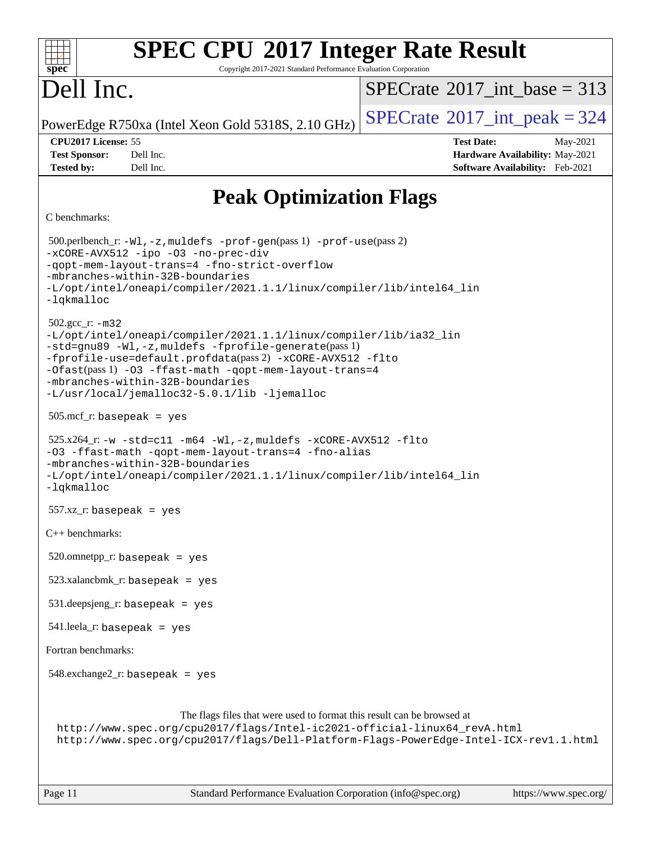| <b>SPEC CPU®2017 Integer Rate Result</b><br>ĦТ<br>spec<br>Copyright 2017-2021 Standard Performance Evaluation Corporation                                                                                                                                                                                                                                               |                                             |  |  |  |
|-------------------------------------------------------------------------------------------------------------------------------------------------------------------------------------------------------------------------------------------------------------------------------------------------------------------------------------------------------------------------|---------------------------------------------|--|--|--|
| Dell Inc.                                                                                                                                                                                                                                                                                                                                                               | $SPECrate^{\circledast}2017$ int base = 313 |  |  |  |
| PowerEdge R750xa (Intel Xeon Gold 5318S, 2.10 GHz)                                                                                                                                                                                                                                                                                                                      | $SPECrate^{\circ}2017\_int\_peak = 324$     |  |  |  |
| CPU2017 License: 55                                                                                                                                                                                                                                                                                                                                                     | <b>Test Date:</b><br>May-2021               |  |  |  |
| Dell Inc.<br><b>Test Sponsor:</b>                                                                                                                                                                                                                                                                                                                                       | Hardware Availability: May-2021             |  |  |  |
| Dell Inc.<br><b>Tested by:</b>                                                                                                                                                                                                                                                                                                                                          | Software Availability: Feb-2021             |  |  |  |
| <b>Peak Optimization Flags</b>                                                                                                                                                                                                                                                                                                                                          |                                             |  |  |  |
| C benchmarks:                                                                                                                                                                                                                                                                                                                                                           |                                             |  |  |  |
| 500.perlbench_r: -Wl, -z, muldefs -prof-gen(pass 1) -prof-use(pass 2)<br>-xCORE-AVX512 -ipo -03 -no-prec-div<br>-gopt-mem-layout-trans=4 -fno-strict-overflow<br>-mbranches-within-32B-boundaries<br>-L/opt/intel/oneapi/compiler/2021.1.1/linux/compiler/lib/intel64_lin<br>-lqkmalloc                                                                                 |                                             |  |  |  |
| $502.\text{gcc\_r}$ : $-m32$<br>-L/opt/intel/oneapi/compiler/2021.1.1/linux/compiler/lib/ia32_lin<br>-std=gnu89 -Wl,-z, muldefs -fprofile-generate(pass 1)<br>-fprofile-use=default.profdata(pass 2) -xCORE-AVX512 -flto<br>-Ofast(pass 1) -03 -ffast-math -qopt-mem-layout-trans=4<br>-mbranches-within-32B-boundaries<br>-L/usr/local/jemalloc32-5.0.1/lib -ljemalloc |                                             |  |  |  |
| $505$ .mcf_r: basepeak = yes                                                                                                                                                                                                                                                                                                                                            |                                             |  |  |  |
| $525.x264_r: -w -std = c11 -m64 -W1, -z$ , muldefs $-xCORE-AVX512 -flto$<br>-03 -ffast-math -qopt-mem-layout-trans=4 -fno-alias<br>-mbranches-within-32B-boundaries<br>-L/opt/intel/oneapi/compiler/2021.1.1/linux/compiler/lib/intel64_lin<br>$-lq$ kmalloc                                                                                                            |                                             |  |  |  |
| $557.xz_r$ : basepeak = yes                                                                                                                                                                                                                                                                                                                                             |                                             |  |  |  |
| C++ benchmarks:                                                                                                                                                                                                                                                                                                                                                         |                                             |  |  |  |
| $520.$ omnetpp_r: basepeak = yes                                                                                                                                                                                                                                                                                                                                        |                                             |  |  |  |
| $523.xalanchmk_r: basepeak = yes$                                                                                                                                                                                                                                                                                                                                       |                                             |  |  |  |
| $531.\text{deepsigng}_r$ : basepeak = yes                                                                                                                                                                                                                                                                                                                               |                                             |  |  |  |
| $541$ .leela_r: basepeak = yes                                                                                                                                                                                                                                                                                                                                          |                                             |  |  |  |
| Fortran benchmarks:                                                                                                                                                                                                                                                                                                                                                     |                                             |  |  |  |
| $548$ .exchange $2$ _r: basepeak = yes                                                                                                                                                                                                                                                                                                                                  |                                             |  |  |  |
| The flags files that were used to format this result can be browsed at<br>http://www.spec.org/cpu2017/flags/Intel-ic2021-official-linux64_revA.html<br>http://www.spec.org/cpu2017/flags/Dell-Platform-Flags-PowerEdge-Intel-ICX-rev1.1.html                                                                                                                            |                                             |  |  |  |